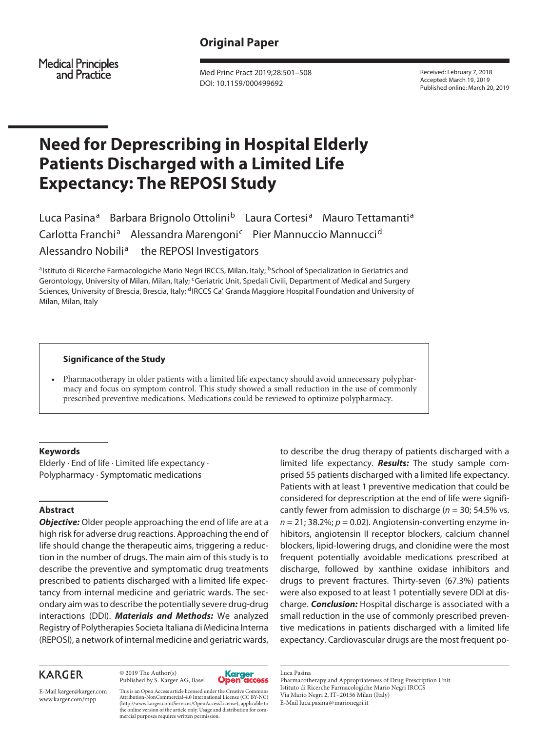# **Original Paper**

Medical Principles<br>and Practice

Med Princ Pract 2019;28:501–508 DOI: 10.1159/000499692

Received: February 7, 2018 Accepted: March 19, 2019 Published online: March 20, 2019

# **Need for Deprescribing in Hospital Elderly Patients Discharged with a Limited Life Expectancy: The REPOSI Study**

Luca Pasina<sup>a</sup> Barbara Brignolo Ottolini<sup>b</sup> Laura Cortesi<sup>a</sup> Mauro Tettamanti<sup>a</sup> Carlotta Franchi<sup>a</sup> Alessandra Marengoni<sup>c</sup> Pier Mannuccio Mannucci<sup>d</sup> Alessandro Nobili<sup>a</sup> the REPOSI Investigators

aIstituto di Ricerche Farmacologiche Mario Negri IRCCS, Milan, Italy; <sup>b</sup> School of Specialization in Geriatrics and Gerontology, University of Milan, Milan, Italy; <sup>c</sup>Geriatric Unit, Spedali Civili, Department of Medical and Surgery Sciences, University of Brescia, Brescia, Italy; <sup>d</sup>IRCCS Ca' Granda Maggiore Hospital Foundation and University of Milan, Milan, Italy

#### **Significance of the Study**

• Pharmacotherapy in older patients with a limited life expectancy should avoid unnecessary polypharmacy and focus on symptom control. This study showed a small reduction in the use of commonly prescribed preventive medications. Medications could be reviewed to optimize polypharmacy.

# **Keywords**

Elderly · End of life · Limited life expectancy · Polypharmacy · Symptomatic medications

#### **Abstract**

*Objective:* Older people approaching the end of life are at a high risk for adverse drug reactions. Approaching the end of life should change the therapeutic aims, triggering a reduction in the number of drugs. The main aim of this study is to describe the preventive and symptomatic drug treatments prescribed to patients discharged with a limited life expectancy from internal medicine and geriatric wards. The secondary aim was to describe the potentially severe drug-drug interactions (DDI). *Materials and Methods:* We analyzed Registry of Polytherapies Societa Italiana di Medicina Interna (REPOSI), a network of internal medicine and geriatric wards,

# **KARGER**

© 2019 The Author(s) Published by S. Karger AG, Basel



to describe the drug therapy of patients discharged with a limited life expectancy. *Results:* The study sample comprised 55 patients discharged with a limited life expectancy. Patients with at least 1 preventive medication that could be considered for deprescription at the end of life were significantly fewer from admission to discharge (*n* = 30; 54.5% vs.  $n = 21$ ; 38.2%;  $p = 0.02$ ). Angiotensin-converting enzyme inhibitors, angiotensin II receptor blockers, calcium channel blockers, lipid-lowering drugs, and clonidine were the most frequent potentially avoidable medications prescribed at discharge, followed by xanthine oxidase inhibitors and drugs to prevent fractures. Thirty-seven (67.3%) patients were also exposed to at least 1 potentially severe DDI at discharge. *Conclusion:* Hospital discharge is associated with a small reduction in the use of commonly prescribed preventive medications in patients discharged with a limited life expectancy. Cardiovascular drugs are the most frequent po-

E-Mail karger@karger.com www.karger.com/mpp

This is an Open Access article licensed under the Creative Commons Attribution-NonCommercial-4.0 International License (CC BY-NC) (http://www.karger.com/Services/OpenAccessLicense), applicable to the online version of the article only. Usage and distribution for commercial purposes requires written permission.

Luca Pasina Pharmacotherapy and Appropriateness of Drug Prescription Unit Istituto di Ricerche Farmacologiche Mario Negri IRCCS Via Mario Negri 2, IT–20156 Milan (Italy) E-Mail luca.pasina@marionegri.it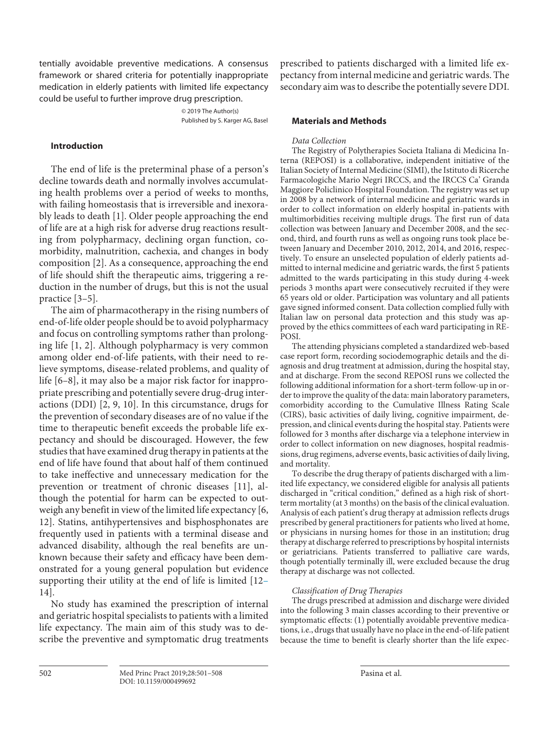tentially avoidable preventive medications. A consensus framework or shared criteria for potentially inappropriate medication in elderly patients with limited life expectancy could be useful to further improve drug prescription.

> © 2019 The Author(s) Published by S. Karger AG, Basel

# **Introduction**

<span id="page-1-0"></span>The end of life is the preterminal phase of a person's decline towards death and normally involves accumulating health problems over a period of weeks to months, with failing homeostasis that is irreversible and inexorably leads to death [[1](#page-7-0)]. Older people approaching the end of life are at a high risk for adverse drug reactions resulting from polypharmacy, declining organ function, comorbidity, malnutrition, cachexia, and changes in body composition [\[2\]](#page-7-1). As a consequence, approaching the end of life should shift the therapeutic aims, triggering a reduction in the number of drugs, but this is not the usual practice [[3](#page-7-2)–[5](#page-7-3)].

<span id="page-1-4"></span><span id="page-1-3"></span><span id="page-1-2"></span><span id="page-1-1"></span>The aim of pharmacotherapy in the rising numbers of end-of-life older people should be to avoid polypharmacy and focus on controlling symptoms rather than prolonging life [[1](#page-7-0), [2](#page-7-1)]. Although polypharmacy is very common among older end-of-life patients, with their need to relieve symptoms, disease-related problems, and quality of life [[6](#page-7-4)–[8](#page-7-5)], it may also be a major risk factor for inappropriate prescribing and potentially severe drug-drug interactions (DDI) [[2,](#page-7-1) [9,](#page-7-6) [10](#page-7-0)]. In this circumstance, drugs for the prevention of secondary diseases are of no value if the time to therapeutic benefit exceeds the probable life expectancy and should be discouraged. However, the few studies that have examined drug therapy in patients at the end of life have found that about half of them continued to take ineffective and unnecessary medication for the prevention or treatment of chronic diseases [[11](#page-7-0)], although the potential for harm can be expected to outweigh any benefit in view of the limited life expectancy [\[6,](#page-7-4) [1](#page-7-0)[2](#page-7-1)]. Statins, antihypertensives and bisphosphonates are frequently used in patients with a terminal disease and advanced disability, although the real benefits are unknown because their safety and efficacy have been demonstrated for a young general population but evidence supporting their utility at the end of life is limited [[1](#page-7-0)[2–](#page-7-1) [1](#page-7-0)[4](#page-7-7)].

<span id="page-1-6"></span><span id="page-1-5"></span>No study has examined the prescription of internal and geriatric hospital specialists to patients with a limited life expectancy. The main aim of this study was to describe the preventive and symptomatic drug treatments

prescribed to patients discharged with a limited life expectancy from internal medicine and geriatric wards. The secondary aim was to describe the potentially severe DDI.

### **Materials and Methods**

#### *Data Collection*

The Registry of Polytherapies Societa Italiana di Medicina Interna (REPOSI) is a collaborative, independent initiative of the Italian Society of Internal Medicine (SIMI), the Istituto di Ricerche Farmacologiche Mario Negri IRCCS, and the IRCCS Ca' Granda Maggiore Policlinico Hospital Foundation. The registry was set up in 2008 by a network of internal medicine and geriatric wards in order to collect information on elderly hospital in-patients with multimorbidities receiving multiple drugs. The first run of data collection was between January and December 2008, and the second, third, and fourth runs as well as ongoing runs took place between January and December 2010, 2012, 2014, and 2016, respectively. To ensure an unselected population of elderly patients admitted to internal medicine and geriatric wards, the first 5 patients admitted to the wards participating in this study during 4-week periods 3 months apart were consecutively recruited if they were 65 years old or older. Participation was voluntary and all patients gave signed informed consent. Data collection complied fully with Italian law on personal data protection and this study was approved by the ethics committees of each ward participating in RE-POSI.

The attending physicians completed a standardized web-based case report form, recording sociodemographic details and the diagnosis and drug treatment at admission, during the hospital stay, and at discharge. From the second REPOSI runs we collected the following additional information for a short-term follow-up in order to improve the quality of the data: main laboratory parameters, comorbidity according to the Cumulative Illness Rating Scale (CIRS), basic activities of daily living, cognitive impairment, depression, and clinical events during the hospital stay. Patients were followed for 3 months after discharge via a telephone interview in order to collect information on new diagnoses, hospital readmissions, drug regimens, adverse events, basic activities of daily living, and mortality.

To describe the drug therapy of patients discharged with a limited life expectancy, we considered eligible for analysis all patients discharged in "critical condition," defined as a high risk of shortterm mortality (at 3 months) on the basis of the clinical evaluation. Analysis of each patient's drug therapy at admission reflects drugs prescribed by general practitioners for patients who lived at home, or physicians in nursing homes for those in an institution; drug therapy at discharge referred to prescriptions by hospital internists or geriatricians. Patients transferred to palliative care wards, though potentially terminally ill, were excluded because the drug therapy at discharge was not collected.

# *Classification of Drug Therapies*

The drugs prescribed at admission and discharge were divided into the following 3 main classes according to their preventive or symptomatic effects: (1) potentially avoidable preventive medications, i.e., drugs that usually have no place in the end-of-life patient because the time to benefit is clearly shorter than the life expec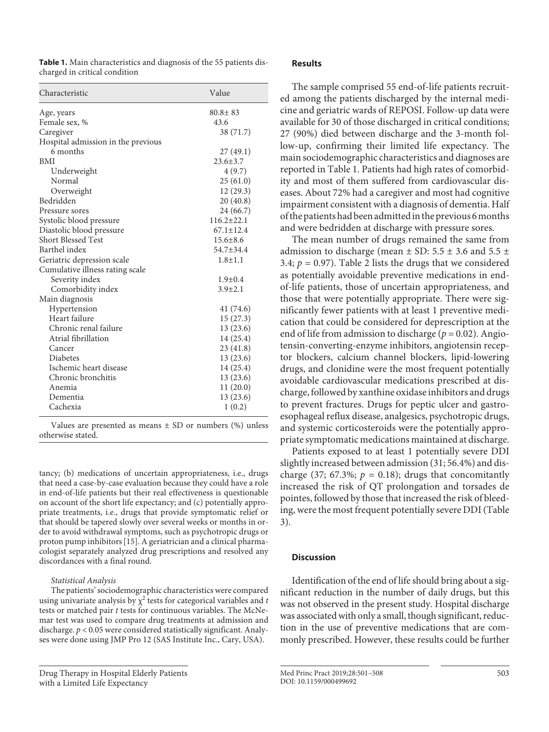**Table 1.** Main characteristics and diagnosis of the 55 patients discharged in critical condition

| Characteristic                     | Value            |
|------------------------------------|------------------|
| Age, years                         | $80.8 \pm 83$    |
| Female sex, %                      | 43.6             |
| Caregiver                          | 38 (71.7)        |
| Hospital admission in the previous |                  |
| 6 months                           | 27(49.1)         |
| <b>BMI</b>                         | $23.6 \pm 3.7$   |
| Underweight                        | 4(9.7)           |
| Normal                             | 25(61.0)         |
| Overweight                         | 12(29.3)         |
| Bedridden                          | 20(40.8)         |
| Pressure sores                     | 24 (66.7)        |
| Systolic blood pressure            | $116.2 \pm 22.1$ |
| Diastolic blood pressure           | $67.1 \pm 12.4$  |
| <b>Short Blessed Test</b>          | $15.6 \pm 8.6$   |
| Barthel index                      | $54.7 + 34.4$    |
| Geriatric depression scale         | $1.8 + 1.1$      |
| Cumulative illness rating scale    |                  |
| Severity index                     | $1.9 \pm 0.4$    |
| Comorbidity index                  | $3.9 \pm 2.1$    |
| Main diagnosis                     |                  |
| Hypertension                       | 41 (74.6)        |
| Heart failure                      | 15 (27.3)        |
| Chronic renal failure              | 13(23.6)         |
| Atrial fibrillation                | 14 (25.4)        |
| Cancer                             | 23(41.8)         |
| <b>Diabetes</b>                    | 13(23.6)         |
| Ischemic heart disease             | 14 (25.4)        |
| Chronic bronchitis                 | 13 (23.6)        |
| Anemia                             | 11 (20.0)        |
| Dementia                           | 13 (23.6)        |
| Cachexia                           | 1(0.2)           |

Values are presented as means  $\pm$  SD or numbers (%) unless otherwise stated.

tancy; (b) medications of uncertain appropriateness, i.e., drugs that need a case-by-case evaluation because they could have a role in end-of-life patients but their real effectiveness is questionable on account of the short life expectancy; and (c) potentially appropriate treatments, i.e., drugs that provide symptomatic relief or that should be tapered slowly over several weeks or months in order to avoid withdrawal symptoms, such as psychotropic drugs or proton pump inhibitors[\[1](#page-7-0)[5](#page-7-3)]. A geriatrician and a clinical pharmacologist separately analyzed drug prescriptions and resolved any discordances with a final round.

#### *Statistical Analysis*

The patients' sociodemographic characteristics were compared using univariate analysis by  $\chi^2$  tests for categorical variables and *t* tests or matched pair *t* tests for continuous variables. The McNemar test was used to compare drug treatments at admission and discharge. *p* < 0.05 were considered statistically significant. Analyses were done using JMP Pro 12 (SAS Institute Inc., Cary, USA).

# **Results**

The sample comprised 55 end-of-life patients recruited among the patients discharged by the internal medicine and geriatric wards of REPOSI. Follow-up data were available for 30 of those discharged in critical conditions; 27 (90%) died between discharge and the 3-month follow-up, confirming their limited life expectancy. The main sociodemographic characteristics and diagnoses are reported in Table 1. Patients had high rates of comorbidity and most of them suffered from cardiovascular diseases. About 72% had a caregiver and most had cognitive impairment consistent with a diagnosis of dementia. Half of the patients had been admitted in the previous 6 months and were bedridden at discharge with pressure sores.

The mean number of drugs remained the same from admission to discharge (mean  $\pm$  SD: 5.5  $\pm$  3.6 and 5.5  $\pm$ 3.4;  $p = 0.97$ ). Table 2 lists the drugs that we considered as potentially avoidable preventive medications in endof-life patients, those of uncertain appropriateness, and those that were potentially appropriate. There were significantly fewer patients with at least 1 preventive medication that could be considered for deprescription at the end of life from admission to discharge ( $p = 0.02$ ). Angiotensin-converting-enzyme inhibitors, angiotensin receptor blockers, calcium channel blockers, lipid-lowering drugs, and clonidine were the most frequent potentially avoidable cardiovascular medications prescribed at discharge, followed by xanthine oxidase inhibitors and drugs to prevent fractures. Drugs for peptic ulcer and gastroesophageal reflux disease, analgesics, psychotropic drugs, and systemic corticosteroids were the potentially appropriate symptomatic medications maintained at discharge.

Patients exposed to at least 1 potentially severe DDI slightly increased between admission (31; 56.4%) and discharge (37; 67.3%;  $p = 0.18$ ); drugs that concomitantly increased the risk of QT prolongation and torsades de pointes, followed by those that increased the risk of bleeding, were the most frequent potentially severe DDI (Table 3).

#### **Discussion**

<span id="page-2-0"></span>Identification of the end of life should bring about a significant reduction in the number of daily drugs, but this was not observed in the present study. Hospital discharge was associated with only a small, though significant, reduction in the use of preventive medications that are commonly prescribed. However, these results could be further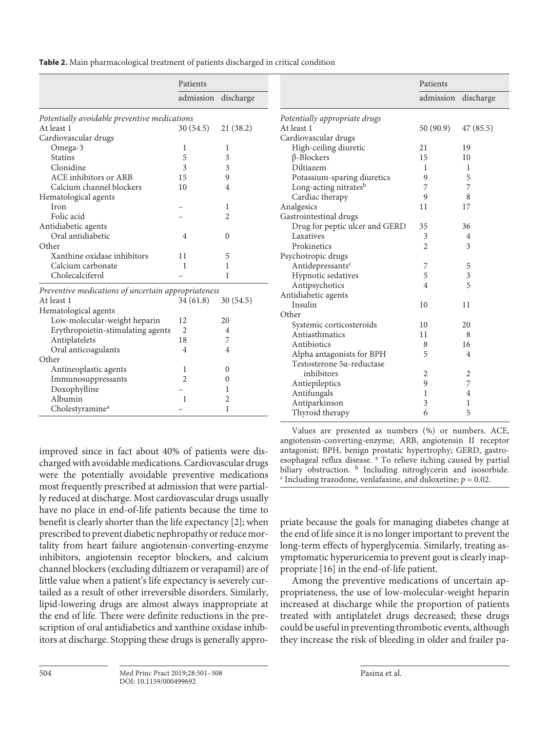**Table 2.** Main pharmacological treatment of patients discharged in critical condition

|                                                     | Patients            |                |                                | Patients            |                |
|-----------------------------------------------------|---------------------|----------------|--------------------------------|---------------------|----------------|
|                                                     | admission discharge |                |                                | admission discharge |                |
| Potentially avoidable preventive medications        |                     |                | Potentially appropriate drugs  |                     |                |
| At least 1                                          | 30(54.5)            | 21(38.2)       | At least 1                     | 50(90.9)            | 47(85.5)       |
| Cardiovascular drugs                                |                     |                | Cardiovascular drugs           |                     |                |
| Omega-3                                             | 1                   | 1              | High-ceiling diuretic          | 21                  | 19             |
| <b>Statins</b>                                      | 5                   | 3              | $\beta$ -Blockers              | 15                  | 10             |
| Clonidine                                           | 3                   | 3              | Diltiazem                      | 1                   | 1              |
| <b>ACE</b> inhibitors or ARB                        | 15                  | 9              | Potassium-sparing diuretics    | 9                   | 5              |
| Calcium channel blockers                            | 10                  | 4              | Long-acting nitratesb          | 7                   | 7              |
| Hematological agents                                |                     |                | Cardiac therapy                | 9                   | 8              |
| Iron                                                |                     | 1              | Analgesics                     | 11                  | 17             |
| Folic acid                                          |                     | $\overline{2}$ | Gastrointestinal drugs         |                     |                |
| Antidiabetic agents                                 |                     |                | Drug for peptic ulcer and GERD | 35                  | 36             |
| Oral antidiabetic                                   | 4                   | 0              | Laxatives                      | 3                   | 4              |
| Other                                               |                     |                | Prokinetics                    | 2                   | 3              |
| Xanthine oxidase inhibitors                         | 11                  | 5              | Psychotropic drugs             |                     |                |
| Calcium carbonate                                   | $\mathbf{1}$        | 1              | Antidepressants <sup>c</sup>   | 7                   | 5              |
| Cholecalciferol                                     |                     | 1              | Hypnotic sedatives             | 5                   | 3              |
|                                                     |                     |                | Antipsychotics                 | 4                   | 5              |
| Preventive medications of uncertain appropriateness |                     |                | Antidiabetic agents            |                     |                |
| At least 1                                          | 34(61.8)            | 30(54.5)       | Insulin                        | 10                  | 11             |
| Hematological agents                                | 12                  | 20             | Other                          |                     |                |
| Low-molecular-weight heparin                        | 2                   |                | Systemic corticosteroids       | 10                  | 20             |
| Erythropoietin-stimulating agents<br>Antiplatelets  | 18                  | 4<br>7         | Antiasthmatics                 | 11                  | 8              |
|                                                     |                     |                | Antibiotics                    | 8                   | 16             |
| Oral anticoagulants<br>Other                        | 4                   | 4              | Alpha antagonists for BPH      | 5                   | $\overline{4}$ |
|                                                     |                     |                | Testosterone 5a-reductase      |                     |                |
| Antineoplastic agents                               | 1                   | 0              | inhibitors                     | 2                   | 2              |
| Immunosuppressants                                  | 2                   | $\mathbf{0}$   | Antiepileptics                 | 9                   | 7              |
| Doxophylline<br>Albumin                             |                     | 1              | Antifungals                    | 1                   | 4              |
|                                                     | 1                   | 2              | Antiparkinson                  | 3                   | 1              |
| Cholestyramine <sup>a</sup>                         |                     | 1              | Thyroid therapy                | 6                   | 5              |

improved since in fact about 40% of patients were discharged with avoidable medications. Cardiovascular drugs were the potentially avoidable preventive medications most frequently prescribed at admission that were partially reduced at discharge. Most cardiovascular drugs usually have no place in end-of-life patients because the time to benefit is clearly shorter than the life expectancy [\[2](#page-7-1)]; when prescribed to prevent diabetic nephropathy or reduce mortality from heart failure angiotensin-converting-enzyme inhibitors, angiotensin receptor blockers, and calcium channel blockers (excluding diltiazem or verapamil) are of little value when a patient's life expectancy is severely curtailed as a result of other irreversible disorders. Similarly, lipid-lowering drugs are almost always inappropriate at the end of life. There were definite reductions in the prescription of oral antidiabetics and xanthine oxidase inhibitors at discharge. Stopping these drugs is generally appro-

Values are presented as numbers (%) or numbers. ACE, angiotensin-converting-enzyme; ARB, angiotensin II receptor antagonist; BPH, benign prostatic hypertrophy; GERD, gastroesophageal reflux disease. <sup>a</sup> To relieve itching caused by partial biliary obstruction. <sup>b</sup> Including nitroglycerin and isosorbide.  $\epsilon$  Including trazodone, venlafaxine, and duloxetine;  $p = 0.02$ .

priate because the goals for managing diabetes change at the end of life since it is no longer important to prevent the long-term effects of hyperglycemia. Similarly, treating asymptomatic hyperuricemia to prevent gout is clearly inappropriate [\[1](#page-7-0)[6\]](#page-7-4) in the end-of-life patient.

Among the preventive medications of uncertain appropriateness, the use of low-molecular-weight heparin increased at discharge while the proportion of patients treated with antiplatelet drugs decreased; these drugs could be useful in preventing thrombotic events, although they increase the risk of bleeding in older and frailer pa-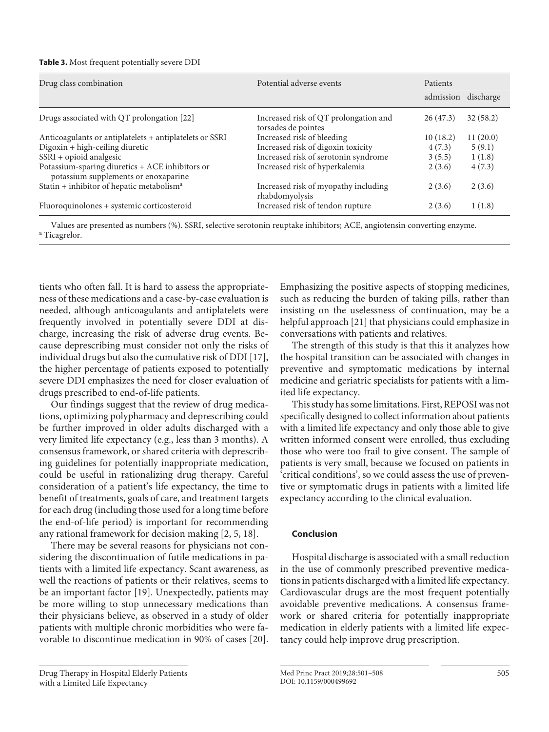| Table 3. Most frequent potentially severe DDI |  |
|-----------------------------------------------|--|
|-----------------------------------------------|--|

| Drug class combination                                                                  | Potential adverse events                                     | Patients  |           |  |
|-----------------------------------------------------------------------------------------|--------------------------------------------------------------|-----------|-----------|--|
|                                                                                         |                                                              | admission | discharge |  |
| Drugs associated with QT prolongation [22]                                              | Increased risk of QT prolongation and<br>torsades de pointes | 26(47.3)  | 32(58.2)  |  |
| Anticoagulants or antiplatelets + antiplatelets or SSRI                                 | Increased risk of bleeding                                   | 10(18.2)  | 11(20.0)  |  |
| Digoxin + high-ceiling diuretic                                                         | Increased risk of digoxin toxicity                           | 4(7.3)    | 5(9.1)    |  |
| SSRI + opioid analgesic                                                                 | Increased risk of serotonin syndrome                         | 3(5.5)    | 1(1.8)    |  |
| Potassium-sparing diuretics + ACE inhibitors or<br>potassium supplements or enoxaparine | Increased risk of hyperkalemia                               | 2(3.6)    | 4(7.3)    |  |
| Statin + inhibitor of hepatic metabolism <sup>a</sup>                                   | Increased risk of myopathy including<br>rhabdomyolysis       | 2(3.6)    | 2(3.6)    |  |
| Fluoroquinolones + systemic corticosteroid                                              | Increased risk of tendon rupture                             | 2(3.6)    | 1(1.8)    |  |

Values are presented as numbers (%). SSRI, selective serotonin reuptake inhibitors; ACE, angiotensin converting enzyme. <sup>a</sup> <sup>a</sup> Ticagrelor.

tients who often fall. It is hard to assess the appropriateness of these medications and a case-by-case evaluation is needed, although anticoagulants and antiplatelets were frequently involved in potentially severe DDI at discharge, increasing the risk of adverse drug events. Because deprescribing must consider not only the risks of individual drugs but also the cumulative risk of DDI [\[1](#page-7-0)[7\]](#page-7-8), the higher percentage of patients exposed to potentially severe DDI emphasizes the need for closer evaluation of drugs prescribed to end-of-life patients.

<span id="page-4-0"></span>Our findings suggest that the review of drug medications, optimizing polypharmacy and deprescribing could be further improved in older adults discharged with a very limited life expectancy (e.g., less than 3 months). A consensus framework, or shared criteria with deprescribing guidelines for potentially inappropriate medication, could be useful in rationalizing drug therapy. Careful consideration of a patient's life expectancy, the time to benefit of treatments, goals of care, and treatment targets for each drug (including those used for a long time before the end-of-life period) is important for recommending any rational framework for decision making [\[2,](#page-7-1) [5,](#page-7-3) [1](#page-7-0)[8](#page-7-5)].

<span id="page-4-1"></span>There may be several reasons for physicians not considering the discontinuation of futile medications in patients with a limited life expectancy. Scant awareness, as well the reactions of patients or their relatives, seems to be an important factor [\[1](#page-7-0)[9\]](#page-7-6). Unexpectedly, patients may be more willing to stop unnecessary medications than their physicians believe, as observed in a study of older patients with multiple chronic morbidities who were favorable to discontinue medication in 90% of cases [\[20](#page-7-1)].

Drug Therapy in Hospital Elderly Patients with a Limited Life Expectancy

Emphasizing the positive aspects of stopping medicines, such as reducing the burden of taking pills, rather than insisting on the uselessness of continuation, may be a helpful approach [\[2](#page-7-1)[1\]](#page-7-0) that physicians could emphasize in conversations with patients and relatives.

The strength of this study is that this it analyzes how the hospital transition can be associated with changes in preventive and symptomatic medications by internal medicine and geriatric specialists for patients with a limited life expectancy.

This study has some limitations. First, REPOSI was not specifically designed to collect information about patients with a limited life expectancy and only those able to give written informed consent were enrolled, thus excluding those who were too frail to give consent. The sample of patients is very small, because we focused on patients in 'critical conditions', so we could assess the use of preventive or symptomatic drugs in patients with a limited life expectancy according to the clinical evaluation.

# **Conclusion**

Hospital discharge is associated with a small reduction in the use of commonly prescribed preventive medications in patients discharged with a limited life expectancy. Cardiovascular drugs are the most frequent potentially avoidable preventive medications. A consensus framework or shared criteria for potentially inappropriate medication in elderly patients with a limited life expectancy could help improve drug prescription.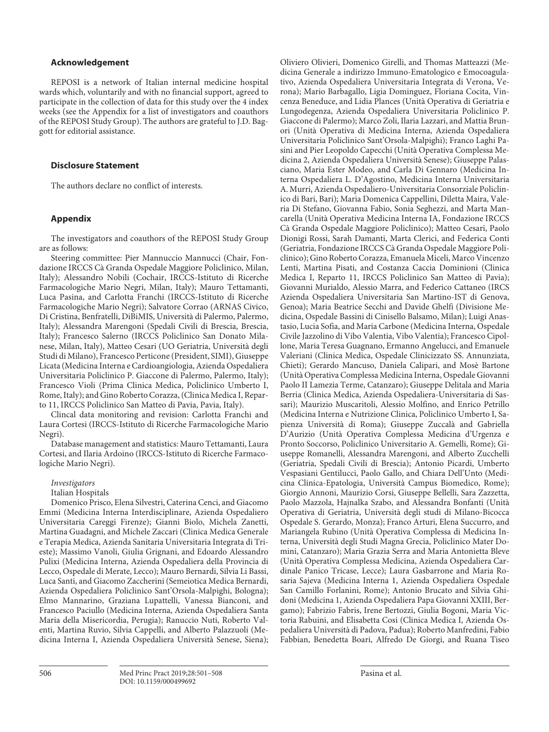#### **Acknowledgement**

REPOSI is a network of Italian internal medicine hospital wards which, voluntarily and with no financial support, agreed to participate in the collection of data for this study over the 4 index weeks (see the Appendix for a list of investigators and coauthors of the REPOSI Study Group). The authors are grateful to J.D. Baggott for editorial assistance.

#### **Disclosure Statement**

The authors declare no conflict of interests.

#### **Appendix**

The investigators and coauthors of the REPOSI Study Group are as follows:

Steering committee: Pier Mannuccio Mannucci (Chair, Fondazione IRCCS Cà Granda Ospedale Maggiore Policlinico, Milan, Italy); Alessandro Nobili (Cochair, IRCCS-Istituto di Ricerche Farmacologiche Mario Negri, Milan, Italy); Mauro Tettamanti, Luca Pasina, and Carlotta Franchi (IRCCS-Istituto di Ricerche Farmacologiche Mario Negri); Salvatore Corrao (ARNAS Civico, Di Cristina, Benfratelli, DiBiMIS, Università di Palermo, Palermo, Italy); Alessandra Marengoni (Spedali Civili di Brescia, Brescia, Italy); Francesco Salerno (IRCCS Policlinico San Donato Milanese, Milan, Italy), Matteo Cesari (UO Geriatria, Università degli Studi di Milano), Francesco Perticone (President, SIMI), Giuseppe Licata (Medicina Interna e Cardioangiologia, Azienda Ospedaliera Universitaria Policlinico P. Giaccone di Palermo, Palermo, Italy); Francesco Violi (Prima Clinica Medica, Policlinico Umberto I, Rome, Italy); and Gino Roberto Corazza, (Clinica Medica I, Reparto 11, IRCCS Policlinico San Matteo di Pavia, Pavia, Italy).

Clincal data monitoring and revision: Carlotta Franchi and Laura Cortesi (IRCCS-Istituto di Ricerche Farmacologiche Mario Negri).

Database management and statistics: Mauro Tettamanti, Laura Cortesi, and Ilaria Ardoino (IRCCS-Istituto di Ricerche Farmacologiche Mario Negri).

#### *Investigators*

Italian Hospitals

Domenico Prisco, Elena Silvestri, Caterina Cenci, and Giacomo Emmi (Medicina Interna Interdisciplinare, Azienda Ospedaliero Universitaria Careggi Firenze); Gianni Biolo, Michela Zanetti, Martina Guadagni, and Michele Zaccari (Clinica Medica Generale e Terapia Medica, Azienda Sanitaria Universitaria Integrata di Trieste); Massimo Vanoli, Giulia Grignani, and Edoardo Alessandro Pulixi (Medicina Interna, Azienda Ospedaliera della Provincia di Lecco, Ospedale di Merate, Lecco); Mauro Bernardi, Silvia Li Bassi, Luca Santi, and Giacomo Zaccherini (Semeiotica Medica Bernardi, Azienda Ospedaliera Policlinico Sant'Orsola-Malpighi, Bologna); Elmo Mannarino, Graziana Lupattelli, Vanessa Bianconi, and Francesco Paciullo (Medicina Interna, Azienda Ospedaliera Santa Maria della Misericordia, Perugia); Ranuccio Nuti, Roberto Valenti, Martina Ruvio, Silvia Cappelli, and Alberto Palazzuoli (Medicina Interna I, Azienda Ospedaliera Università Senese, Siena);

Oliviero Olivieri, Domenico Girelli, and Thomas Matteazzi (Medicina Generale a indirizzo Immuno-Ematologico e Emocoagulativo, Azienda Ospedaliera Universitaria Integrata di Verona, Verona); Mario Barbagallo, Ligia Dominguez, Floriana Cocita, Vincenza Beneduce, and Lidia Plances (Unità Operativa di Geriatria e Lungodegenza, Azienda Ospedaliera Universitaria Policlinico P. Giaccone di Palermo); Marco Zoli, Ilaria Lazzari, and Mattia Brunori (Unità Operativa di Medicina Interna, Azienda Ospedaliera Universitaria Policlinico Sant'Orsola-Malpighi); Franco Laghi Pasini and Pier Leopoldo Capecchi (Unità Operativa Complessa Medicina 2, Azienda Ospedaliera Università Senese); Giuseppe Palasciano, Maria Ester Modeo, and Carla Di Gennaro (Medicina Interna Ospedaliera L. D'Agostino, Medicina Interna Universitaria A. Murri, Azienda Ospedaliero-Universitaria Consorziale Policlinico di Bari, Bari); Maria Domenica Cappellini, Diletta Maira, Valeria Di Stefano, Giovanna Fabio, Sonia Seghezzi, and Marta Mancarella (Unità Operativa Medicina Interna IA, Fondazione IRCCS Cà Granda Ospedale Maggiore Policlinico); Matteo Cesari, Paolo Dionigi Rossi, Sarah Damanti, Marta Clerici, and Federica Conti (Geriatria, Fondazione IRCCS Cà Granda Ospedale Maggiore Policlinico); Gino Roberto Corazza, Emanuela Miceli, Marco Vincenzo Lenti, Martina Pisati, and Costanza Caccia Dominioni (Clinica Medica I, Reparto 11, IRCCS Policlinico San Matteo di Pavia); Giovanni Murialdo, Alessio Marra, and Federico Cattaneo (IRCS Azienda Ospedaliera Universitaria San Martino-IST di Genova, Genoa); Maria Beatrice Secchi and Davide Ghelfi (Divisione Medicina, Ospedale Bassini di Cinisello Balsamo, Milan); Luigi Anastasio, Lucia Sofia, and Maria Carbone (Medicina Interna, Ospedale Civile Jazzolino di Vibo Valentia, Vibo Valentia); Francesco Cipollone, Maria Teresa Guagnano, Ermanno Angelucci, and Emanuele Valeriani (Clinica Medica, Ospedale Clinicizzato SS. Annunziata, Chieti); Gerardo Mancuso, Daniela Calipari, and Mosè Bartone (Unità Operativa Complessa Medicina Interna, Ospedale Giovanni Paolo II Lamezia Terme, Catanzaro); Giuseppe Delitala and Maria Berria (Clinica Medica, Azienda Ospedaliera-Universitaria di Sassari); Maurizio Muscaritoli, Alessio Molfino, and Enrico Petrillo (Medicina Interna e Nutrizione Clinica, Policlinico Umberto I, Sapienza Università di Roma); Giuseppe Zuccalà and Gabriella D'Aurizio (Unità Operativa Complessa Medicina d'Urgenza e Pronto Soccorso, Policlinico Universitario A. Gemelli, Rome); Giuseppe Romanelli, Alessandra Marengoni, and Alberto Zucchelli (Geriatria, Spedali Civili di Brescia); Antonio Picardi, Umberto Vespasiani Gentilucci, Paolo Gallo, and Chiara Dell'Unto (Medicina Clinica-Epatologia, Università Campus Biomedico, Rome); Giorgio Annoni, Maurizio Corsi, Giuseppe Bellelli, Sara Zazzetta, Paolo Mazzola, Hajnalka Szabo, and Alessandra Bonfanti (Unità Operativa di Geriatria, Università degli studi di Milano-Bicocca Ospedale S. Gerardo, Monza); Franco Arturi, Elena Succurro, and Mariangela Rubino (Unità Operativa Complessa di Medicina Interna, Università degli Studi Magna Grecia, Policlinico Mater Domini, Catanzaro); Maria Grazia Serra and Maria Antonietta Bleve (Unità Operativa Complessa Medicina, Azienda Ospedaliera Cardinale Panico Tricase, Lecce); Laura Gasbarrone and Maria Rosaria Sajeva (Medicina Interna 1, Azienda Ospedaliera Ospedale San Camillo Forlanini, Rome); Antonio Brucato and Silvia Ghidoni (Medicina 1, Azienda Ospedaliera Papa Giovanni XXIII, Bergamo); Fabrizio Fabris, Irene Bertozzi, Giulia Bogoni, Maria Victoria Rabuini, and Elisabetta Cosi (Clinica Medica I, Azienda Ospedaliera Università di Padova, Padua); Roberto Manfredini, Fabio Fabbian, Benedetta Boari, Alfredo De Giorgi, and Ruana Tiseo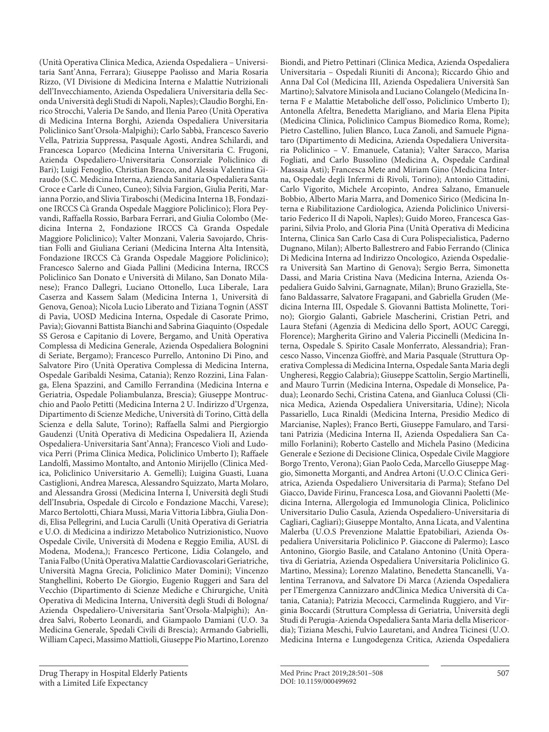(Unità Operativa Clinica Medica, Azienda Ospedaliera – Universitaria Sant'Anna, Ferrara); Giuseppe Paolisso and Maria Rosaria Rizzo, (VI Divisione di Medicina Interna e Malattie Nutrizionali dell'Invecchiamento, Azienda Ospedaliera Universitaria della Seconda Università degli Studi di Napoli, Naples); Claudio Borghi, Enrico Strocchi, Valeria De Sando, and Ilenia Pareo (Unità Operativa di Medicina Interna Borghi, Azienda Ospedaliera Universitaria Policlinico Sant'Orsola-Malpighi); Carlo Sabbà, Francesco Saverio Vella, Patrizia Suppressa, Pasquale Agosti, Andrea Schilardi, and Francesca Loparco (Medicina Interna Universitaria C. Frugoni, Azienda Ospedaliero-Universitaria Consorziale Policlinico di Bari); Luigi Fenoglio, Christian Bracco, and Alessia Valentina Giraudo (S.C. Medicina Interna, Azienda Sanitaria Ospedaliera Santa Croce e Carle di Cuneo, Cuneo); Silvia Fargion, Giulia Periti, Marianna Porzio, and Slivia Tiraboschi (Medicina Interna 1B, Fondazione IRCCS Cà Granda Ospedale Maggiore Policlinico); Flora Peyvandi, Raffaella Rossio, Barbara Ferrari, and Giulia Colombo (Medicina Interna 2, Fondazione IRCCS Cà Granda Ospedale Maggiore Policlinico); Valter Monzani, Valeria Savojardo, Christian Folli and Giuliana Ceriani (Medicina Interna Alta Intensità, Fondazione IRCCS Cà Granda Ospedale Maggiore Policlinico); Francesco Salerno and Giada Pallini (Medicina Interna, IRCCS Policlinico San Donato e Università di Milano, San Donato Milanese); Franco Dallegri, Luciano Ottonello, Luca Liberale, Lara Caserza and Kassem Salam (Medicina Interna 1, Università di Genova, Genoa); Nicola Lucio Liberato and Tiziana Tognin (ASST di Pavia, UOSD Medicina Interna, Ospedale di Casorate Primo, Pavia); Giovanni Battista Bianchi and Sabrina Giaquinto (Ospedale SS Gerosa e Capitanio di Lovere, Bergamo, and Unità Operativa Complessa di Medicina Generale, Azienda Ospedaliera Bolognini di Seriate, Bergamo); Francesco Purrello, Antonino Di Pino, and Salvatore Piro (Unità Operativa Complessa di Medicina Interna, Ospedale Garibaldi Nesima, Catania); Renzo Rozzini, Lina Falanga, Elena Spazzini, and Camillo Ferrandina (Medicina Interna e Geriatria, Ospedale Poliambulanza, Brescia); Giuseppe Montrucchio and Paolo Petitti (Medicina Interna 2 U. Indirizzo d'Urgenza, Dipartimento di Scienze Mediche, Università di Torino, Città della Scienza e della Salute, Torino); Raffaella Salmi and Piergiorgio Gaudenzi (Unità Operativa di Medicina Ospedaliera II, Azienda Ospedaliera-Universitaria Sant'Anna); Francesco Violi and Ludovica Perri (Prima Clinica Medica, Policlinico Umberto I); Raffaele Landolfi, Massimo Montalto, and Antonio Mirijello (Clinica Medica, Policlinico Universitario A. Gemelli); Luigina Guasti, Luana Castiglioni, Andrea Maresca, Alessandro Squizzato, Marta Molaro, and Alessandra Grossi (Medicina Interna I, Università degli Studi dell'Insubria, Ospedale di Circolo e Fondazione Macchi, Varese); Marco Bertolotti, Chiara Mussi, Maria Vittoria Libbra, Giulia Dondi, Elisa Pellegrini, and Lucia Carulli (Unità Operativa di Geriatria e U.O. di Medicina a indirizzo Metabolico Nutrizionistico, Nuovo Ospedale Civile, Università di Modena e Reggio Emilia, AUSL di Modena, Modena,); Francesco Perticone, Lidia Colangelo, and Tania Falbo (Unità Operativa Malattie Cardiovascolari Geriatriche, Università Magna Grecia, Policlinico Mater Domini); Vincenzo Stanghellini, Roberto De Giorgio, Eugenio Ruggeri and Sara del Vecchio (Dipartimento di Scienze Mediche e Chirurgiche, Unità Operativa di Medicina Interna, Università degli Studi di Bologna/ Azienda Ospedaliero-Universitaria Sant'Orsola-Malpighi); Andrea Salvi, Roberto Leonardi, and Giampaolo Damiani (U.O. 3a Medicina Generale, Spedali Civili di Brescia); Armando Gabrielli, William Capeci, Massimo Mattioli, Giuseppe Pio Martino, Lorenzo

Med Princ Pract 2019;28:501-508 507 DOI: 10.1159/000499692

Universitaria – Ospedali Riuniti di Ancona); Riccardo Ghio and Anna Dal Col (Medicina III, Azienda Ospedaliera Università San Martino); Salvatore Minisola and Luciano Colangelo (Medicina Interna F e Malattie Metaboliche dell'osso, Policlinico Umberto I); Antonella Afeltra, Benedetta Marigliano, and Maria Elena Pipita (Medicina Clinica, Policlinico Campus Biomedico Roma, Rome); Pietro Castellino, Julien Blanco, Luca Zanoli, and Samuele Pignataro (Dipartimento di Medicina, Azienda Ospedaliera Universitaria Policlinico – V. Emanuele, Catania); Valter Saracco, Marisa Fogliati, and Carlo Bussolino (Medicina A, Ospedale Cardinal Massaia Asti); Francesca Mete and Miriam Gino (Medicina Interna, Ospedale degli Infermi di Rivoli, Torino); Antonio Cittadini, Carlo Vigorito, Michele Arcopinto, Andrea Salzano, Emanuele Bobbio, Alberto Maria Marra, and Domenico Sirico (Medicina Interna e Riabilitazione Cardiologica, Azienda Policlinico Universitario Federico II di Napoli, Naples); Guido Moreo, Francesca Gasparini, Silvia Prolo, and Gloria Pina (Unità Operativa di Medicina Interna, Clinica San Carlo Casa di Cura Polispecialistica, Paderno Dugnano, Milan); Alberto Ballestrero and Fabio Ferrando (Clinica Di Medicina Interna ad Indirizzo Oncologico, Azienda Ospedaliera Università San Martino di Genova); Sergio Berra, Simonetta Dassi, and Maria Cristina Nava (Medicina Interna, Azienda Ospedaliera Guido Salvini, Garnagnate, Milan); Bruno Graziella, Stefano Baldassarre, Salvatore Fragapani, and Gabriella Gruden (Medicina Interna III, Ospedale S. Giovanni Battista Molinette, Torino); Giorgio Galanti, Gabriele Mascherini, Cristian Petri, and Laura Stefani (Agenzia di Medicina dello Sport, AOUC Careggi, Florence); Margherita Girino and Valeria Piccinelli (Medicina Interna, Ospedale S. Spirito Casale Monferrato, Alessandria); Francesco Nasso, Vincenza Gioffrè, and Maria Pasquale (Struttura Operativa Complessa di Medicina Interna, Ospedale Santa Maria degli Ungheresi, Reggio Calabria); Giuseppe Scattolin, Sergio Martinelli, and Mauro Turrin (Medicina Interna, Ospedale di Monselice, Padua); Leonardo Sechi, Cristina Catena, and Gianluca Colussi (Clinica Medica, Azienda Ospedaliera Universitaria, Udine); Nicola Passariello, Luca Rinaldi (Medicina Interna, Presidio Medico di Marcianise, Naples); Franco Berti, Giuseppe Famularo, and Tarsitani Patrizia (Medicina Interna II, Azienda Ospedaliera San Camillo Forlanini); Roberto Castello and Michela Pasino (Medicina Generale e Sezione di Decisione Clinica, Ospedale Civile Maggiore Borgo Trento, Verona); Gian Paolo Ceda, Marcello Giuseppe Maggio, Simonetta Morganti, and Andrea Artoni (U.O.C Clinica Geriatrica, Azienda Ospedaliero Universitaria di Parma); Stefano Del Giacco, Davide Firinu, Francesca Losa, and Giovanni Paoletti (Medicina Interna, Allergologia ed Immunologia Clinica, Policlinico Universitario Dulio Casula, Azienda Ospedaliero-Universitaria di Cagliari, Cagliari); Giuseppe Montalto, Anna Licata, and Valentina Malerba (U.O.S Prevenzione Malattie Epatobiliari, Azienda Ospedaliera Universitaria Policlinico P. Giaccone di Palermo); Lasco Antonino, Giorgio Basile, and Catalano Antonino (Unità Operativa di Geriatria, Azienda Ospedaliera Universitaria Policlinico G. Martino, Messina); Lorenzo Malatino, Benedetta Stancanelli, Valentina Terranova, and Salvatore Di Marca (Azienda Ospedaliera per l'Emergenza Cannizzaro andClinica Medica Università di Catania, Catania); Patrizia Mecocci, Carmelinda Ruggiero, and Virginia Boccardi (Struttura Complessa di Geriatria, Università degli Studi di Perugia-Azienda Ospedaliera Santa Maria della Misericordia); Tiziana Meschi, Fulvio Lauretani, and Andrea Ticinesi (U.O. Medicina Interna e Lungodegenza Critica, Azienda Ospedaliera

Biondi, and Pietro Pettinari (Clinica Medica, Azienda Ospedaliera